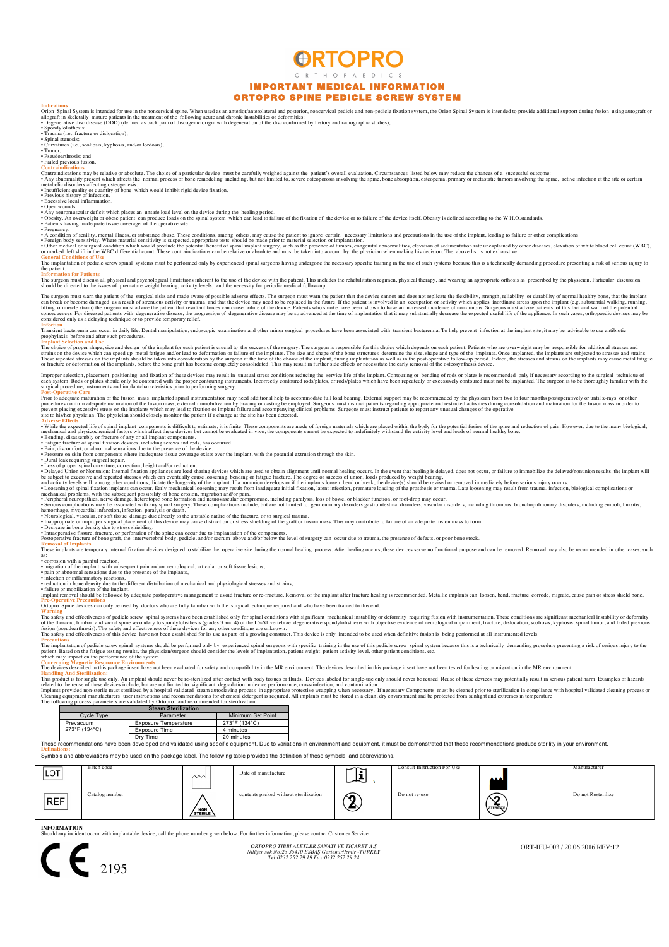# **ORTOPRO** ORTHOPAEDICS IMPORTANT MEDICAL INFORMATION ORTOPRO SPINE PEDICLE SCREW SYSTEM

Indications<br>Orion Spinal System is intended for use in the noncervical spine. When used as an anterior/anterolateral and posterior, noncervical pedicle and non-pedicle fixation system, the Orion Spinal System is intended t

• Trauma (i.e., fracture or dislocation); • Spinal stenosis; • Curvatures (i.e., scoliosis, kyphosis, and/or lordosis); • Tumor;

• Pseudoarthrosis; and • Failed previous fusion.

Contraindications may be relative or absolute. The choice of a particular device must be carefully weighed against the patient's overall evaluation. Circumstances listed below may reduce the chances of a successful outcome

• Insufficient quality or quantity of bone which would inhibit rigid device fixation.<br>• Previous history of infection.<br>• Excessive local inflammation.<br>• Open wounds.

• Any neuromuscular deficit which places an unsafe lood level on the device of the healing priod.<br>• Obesity. An overweight or obese patient can produce loads on the spin elevel integrange riod.<br>• Patients having inadequat

General Conditions of Use<br>The implantation of pedicle screw spinal systems must be performed only by experienced spinal surgeons having undergone the necessary specific training in the use of such systems because this is a

The surgeon must discuss all physical and psychological limitations inherent to the use of the device with the patient. This includes the rehabilitation regimen, physical therapy, and wearing an appropriate orthosis as pre

The surgeon must warn the patient of the surgical risks and made aware of possible adverse effects. The surgeon must warn the patient that the device cannot and does not replicate the flexibility, strength, reliability of

Infection<br>Transient bacteremia can occur in daily life. Dental manipulation, endoscopic examination and other minor surgical procedures have been associated with transient bacteremia. To help prevent infection at the impla prophylaxis before and after such prophylaxis before and after such procedures.

Implant Selection and Use<br>The choice of proper shape, size and design of the implant for each patient is crucial to the success of the surgery. The surgeon is responsible for this choice which depends on each patient. Pati

Improper selection, placement, positioning and fixation of these devices may result in unusual stress conditions reduced.<br>Reach system. Rods or plates hould only be contoured with the proper contouring instruments. Incorre

Advects Effects of discussions of the secure of the secure of the secure of the secure of the second of the second of the secure of the secure of the secure of the secure of the secure of the secure of spin and column and

Prospective fracture of the intervertebral body, pedicle, and/or sacrum above and one below the level of surgery can occur due to trauma, the presence of defects, or poor bone stock.<br>Supporative fracture of bone graft, the

Removal of Implants<br>These implants are temporary internal fixation devices designed to stabilize the operative site during the normal healing process. After healing occurs, these devices serve no functional purpose and can

as:<br>• corrosion with a painful reaction,<br>• migration of the implant, with subsequent pain and/or neurological, articular or soft tissue lesions,<br>• pain or abnormal sensations due to the presence of the implants,<br>• infectio

• reduction in bone density due to the different distribution of mechanical and physiological stresses and strains,<br>• failure or mobilization of the implant.<br>Impant removal should be followed by adequate postoperative mana

Ortopro Spine devices can only be used by doctors who are fully familiar with the surgical technique required and who have been trained to this end.

Warning diffectiveness of pedicle screw spinal systems have been established only for spinal conditions with significant mechanical instability or deformity requiring fusion with instrumentation. These conditions are signi

# Precautions<br>The implantation of pedicle screw spinal systems should be performed only by experienced spinal surgeons with specific training in the use of this pedicle screw spinal system because this is a technically deman

Handling And Sterilization:<br>This product is for single use only. An implant should never be re-sterilized after contact with body tissues or fluids. Devices labeled for single-use only should never be reused. Reuse of thes

|  | <b>Steam Sterilization</b> |                      |                      |  |  |
|--|----------------------------|----------------------|----------------------|--|--|
|  | Cycle Type                 | Parameter            | Minimum Set Point    |  |  |
|  | Prevacuum<br>273°F (134°C) | Exposure Temperature | 273°F (134°C)        |  |  |
|  |                            | <b>Exposure Time</b> | 4 minutes            |  |  |
|  |                            | --                   | $\sim$ $\sim$ $\sim$ |  |  |

Dry Time 20 minutes<br>an developed and validated using specific equipment. Due to varia These recommendations have been developed and validated using specific equipment. Due to variations in environment and equipment, it must be demonstrated that these recommendations produce sterility in your environment.<br>Th

**Definations:** Symbols and abbreviations may be used on the package label. The following table provides the definition of these symbols and abbreviations.

| <b>LOT</b> | Batch code     | $\sim$  | Date of manufacture                   | . .<br>لتكلما | Consult Instruction For Use | <b>AAA</b>     | Manufacturer       |
|------------|----------------|---------|---------------------------------------|---------------|-----------------------------|----------------|--------------------|
| REF        | Catalog number | STERILE | contents packed without sterilization | ∕ਨ<br>⊖       | Do not re-use               | ^^<br>STERINZE | Do not Resterilize |

**INFORMATION** with implantable device, call the phone number given below. For further information, please contact Customer S



*ORTOPRO TIBBI ALETLER SANAYI VE TICARET A.S Nilüfer sok.No:23 35410 ESBAŞ Gaziemir/Izmir -TURKEY Tel:0232 252 29 19 Fax:0232 252 29 24*

ORT-IFU-003 / 20.06.2016 REV:12